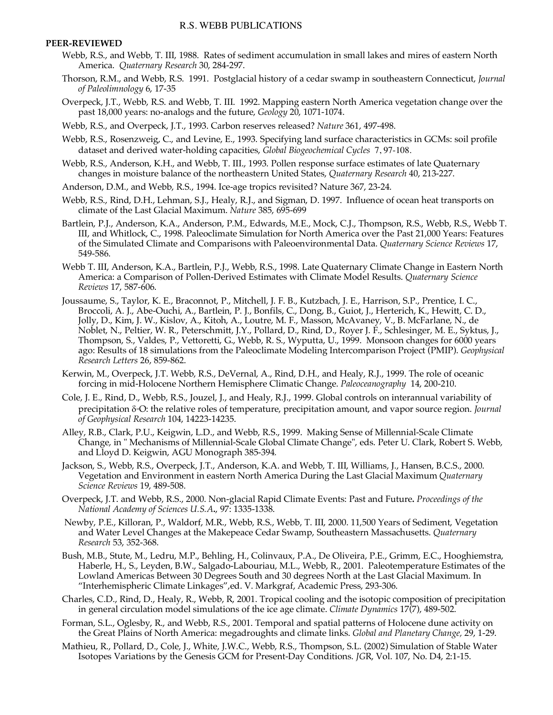## **PEER-REVIEWED**

- Webb, R.S., and Webb, T. III, 1988. Rates of sediment accumulation in small lakes and mires of eastern North America. *Quaternary Research* 30, 284-297.
- Thorson, R.M., and Webb, R.S. 1991. Postglacial history of a cedar swamp in southeastern Connecticut, *Journal of Paleolimnology* 6, 17-35
- Overpeck, J.T., Webb, R.S. and Webb, T. III. 1992. Mapping eastern North America vegetation change over the past 18,000 years: no-analogs and the future, *Geology* 20, 1071-1074.
- Webb, R.S., and Overpeck, J.T., 1993. Carbon reserves released? *Nature* 361, 497-498.
- Webb, R.S., Rosenzweig, C., and Levine, E., 1993. Specifying land surface characteristics in GCMs: soil profile dataset and derived water-holding capacities, *Global Biogeochemical Cycles* 7, 97-108.
- Webb, R.S., Anderson, K.H., and Webb, T. III., 1993. Pollen response surface estimates of late Quaternary changes in moisture balance of the northeastern United States, *Quaternary Research* 40, 213-227.
- Anderson, D.M., and Webb, R.S., 1994. Ice-age tropics revisited? Nature 367, 23-24.
- Webb, R.S., Rind, D.H., Lehman, S.J., Healy, R.J., and Sigman, D. 1997. Influence of ocean heat transports on climate of the Last Glacial Maximum. *Nature* 385, 695-699
- Bartlein, P.J., Anderson, K.A., Anderson, P.M., Edwards, M.E., Mock, C.J., Thompson, R.S., Webb, R.S., Webb T. III, and Whitlock, C., 1998. Paleoclimate Simulation for North America over the Past 21,000 Years: Features of the Simulated Climate and Comparisons with Paleoenvironmental Data. *Quaternary Science Reviews* 17, 549-586.
- Webb T. III, Anderson, K.A., Bartlein, P.J., Webb, R.S., 1998. Late Quaternary Climate Change in Eastern North America: a Comparison of Pollen-Derived Estimates with Climate Model Results. *Quaternary Science Reviews* 17, 587-606.
- Joussaume, S., Taylor, K. E., Braconnot, P., Mitchell, J. F. B., Kutzbach, J. E., Harrison, S.P., Prentice, I. C., Broccoli, A. J., Abe-Ouchi, A., Bartlein, P. J., Bonfils, C., Dong, B., Guiot, J., Herterich, K., Hewitt, C. D., Jolly, D., Kim, J. W., Kislov, A., Kitoh, A., Loutre, M. F., Masson, McAvaney, V., B. McFarlane, N., de Noblet, N., Peltier, W. R., Peterschmitt, J.Y., Pollard, D., Rind, D., Royer J. F., Schlesinger, M. E., Syktus, J., Thompson, S., Valdes, P., Vettoretti, G., Webb, R. S., Wyputta, U., 1999. Monsoon changes for 6000 years ago: Results of 18 simulations from the Paleoclimate Modeling Intercomparison Project (PMIP). *Geophysical Research Letters* 26, 859-862.
- Kerwin, M., Overpeck, J.T. Webb, R.S., DeVernal, A., Rind, D.H., and Healy, R.J., 1999. The role of oceanic forcing in mid-Holocene Northern Hemisphere Climatic Change. *Paleoceanography* 14, 200-210.
- Cole, J. E., Rind, D., Webb, R.S., Jouzel, J., and Healy, R.J., 1999. Global controls on interannual variability of precipitation  $\delta$ <sup>®</sup>O: the relative roles of temperature, precipitation amount, and vapor source region. *Journal of Geophysical Research* 104, 14223-14235.
- Alley, R.B., Clark, P.U., Keigwin, L.D., and Webb, R.S., 1999. Making Sense of Millennial-Scale Climate Change, in " Mechanisms of Millennial-Scale Global Climate Change", eds. Peter U. Clark, Robert S. Webb, and Lloyd D. Keigwin, AGU Monograph 385-394*.*
- Jackson, S., Webb, R.S., Overpeck, J.T., Anderson, K.A. and Webb, T. III, Williams, J., Hansen, B.C.S., 2000. Vegetation and Environment in eastern North America During the Last Glacial Maximum *Quaternary Science Reviews* 19, 489-508.
- Overpeck, J.T. and Webb, R.S., 2000. Non-glacial Rapid Climate Events: Past and Future**.** *Proceedings of the National Academy of Sciences U.S.A***.**, 97: 1335-1338.
- Newby, P.E., Killoran, P., Waldorf, M.R., Webb, R.S., Webb, T. III, 2000. 11,500 Years of Sediment, Vegetation and Water Level Changes at the Makepeace Cedar Swamp, Southeastern Massachusetts. *Quaternary Research* 53, 352-368.
- Bush, M.B., Stute, M., Ledru, M.P., Behling, H., Colinvaux, P.A., De Oliveira, P.E., Grimm, E.C., Hooghiemstra, Haberle, H., S., Leyden, B.W., Salgado-Labouriau, M.L., Webb, R., 2001. Paleotemperature Estimates of the Lowland Americas Between 30 Degrees South and 30 degrees North at the Last Glacial Maximum. In "Interhemispheric Climate Linkages",ed. V. Markgraf, Academic Press, 293-306.
- Charles, C.D., Rind, D., Healy, R., Webb, R, 2001. Tropical cooling and the isotopic composition of precipitation in general circulation model simulations of the ice age climate. *Climate Dynamics* 17(7), 489-502.
- Forman, S.L., Oglesby, R., and Webb, R.S., 2001. Temporal and spatial patterns of Holocene dune activity on the Great Plains of North America: megadroughts and climate links. *Global and Planetary Change,* 29, 1-29.
- Mathieu, R., Pollard, D., Cole, J., White, J.W.C., Webb, R.S., Thompson, S.L. (2002) Simulation of Stable Water Isotopes Variations by the Genesis GCM for Present-Day Conditions. *JG*R, Vol. 107, No. D4, 2:1-15.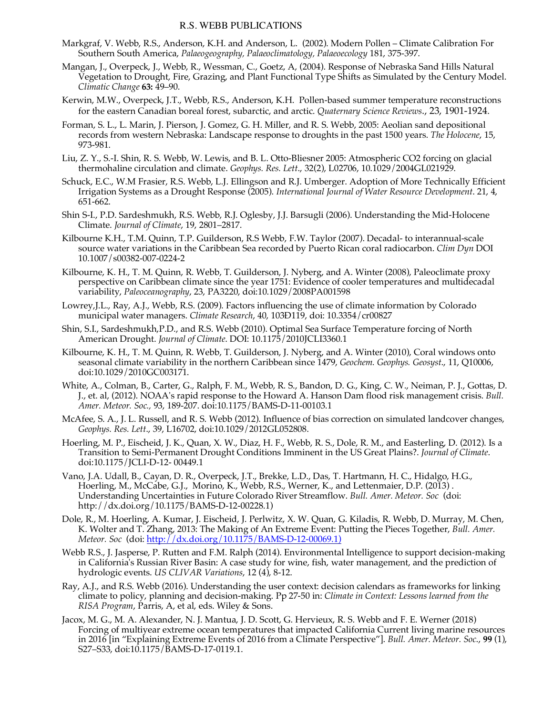## R.S. WEBB PUBLICATIONS

- Markgraf, V. Webb, R.S., Anderson, K.H. and Anderson, L. (2002). Modern Pollen Climate Calibration For Southern South America, *Palaeogeography, Palaeoclimatology, Palaeoecology* 181, 375-397.
- Mangan, J., Overpeck, J., Webb, R., Wessman, C., Goetz, A, (2004). Response of Nebraska Sand Hills Natural Vegetation to Drought, Fire, Grazing, and Plant Functional Type Shifts as Simulated by the Century Model. *Climatic Change* **63:** 49–90.
- Kerwin, M.W., Overpeck, J.T., Webb, R.S., Anderson, K.H. Pollen-based summer temperature reconstructions for the eastern Canadian boreal forest, subarctic, and arctic. *Quaternary Science Reviews*., 23, 1901-1924.
- Forman, S. L., L. Marin, J. Pierson, J. Gomez, G. H. Miller, and R. S. Webb, 2005: Aeolian sand depositional records from western Nebraska: Landscape response to droughts in the past 1500 years. *The Holocene*, 15, 973-981.
- Liu, Z. Y., S.-I. Shin, R. S. Webb, W. Lewis, and B. L. Otto-Bliesner 2005: Atmospheric CO2 forcing on glacial thermohaline circulation and climate. *Geophys. Res. Lett*., 32(2), L02706, 10.1029/2004GL021929.
- Schuck, E.C., W.M Frasier, R.S. Webb, L.J. Ellingson and R.J. Umberger. Adoption of More Technically Efficient Irrigation Systems as a Drought Response (2005). *International Journal of Water Resource Development*. 21, 4, 651-662.
- Shin S-I., P.D. Sardeshmukh, R.S. Webb, R.J. Oglesby, J.J. Barsugli (2006). Understanding the Mid-Holocene Climate. *Journal of Climate*, 19, 2801–2817.
- Kilbourne K.H., T.M. Quinn, T.P. Guilderson, R.S Webb, F.W. Taylor (2007). Decadal- to interannual-scale source water variations in the Caribbean Sea recorded by Puerto Rican coral radiocarbon. *Clim Dyn* DOI 10.1007/s00382-007-0224-2
- Kilbourne, K. H., T. M. Quinn, R. Webb, T. Guilderson, J. Nyberg, and A. Winter (2008), Paleoclimate proxy perspective on Caribbean climate since the year 1751: Evidence of cooler temperatures and multidecadal variability, *Paleoceanography*, 23, PA3220, doi:10.1029/2008PA001598
- Lowrey,J.L., Ray, A.J., Webb, R.S. (2009). Factors influencing the use of climate information by Colorado municipal water managers. *Climate Research*, 40, 103Ð119, doi: 10.3354/cr00827
- Shin, S.I., Sardeshmukh,P.D., and R.S. Webb (2010). Optimal Sea Surface Temperature forcing of North American Drought. *Journal of Climate*. DOI: 10.1175/2010JCLI3360.1
- Kilbourne, K. H., T. M. Quinn, R. Webb, T. Guilderson, J. Nyberg, and A. Winter (2010), Coral windows onto seasonal climate variability in the northern Caribbean since 1479, *Geochem. Geophys. Geosyst*., 11, Q10006, doi:10.1029/2010GC003171.
- White, A., Colman, B., Carter, G., Ralph, F. M., Webb, R. S., Bandon, D. G., King, C. W., Neiman, P. J., Gottas, D. J., et. al, (2012). NOAA's rapid response to the Howard A. Hanson Dam flood risk management crisis. *Bull. Amer. Meteor. Soc.,* 93, 189-207. doi:10.1175/BAMS-D-11-00103.1
- McAfee, S. A., J. L. Russell, and R. S. Webb (2012). Influence of bias correction on simulated landcover changes, *Geophys. Res. Lett*., 39, L16702, doi:10.1029/2012GL052808.
- Hoerling, M. P., Eischeid, J. K., Quan, X. W., Diaz, H. F., Webb, R. S., Dole, R. M., and Easterling, D. (2012). Is a Transition to Semi-Permanent Drought Conditions Imminent in the US Great Plains?. *Journal of Climate*. doi:10.1175/JCLI-D-12- 00449.1
- Vano, J.A. Udall, B., Cayan, D. R., Overpeck, J.T., Brekke, L.D., Das, T. Hartmann, H. C., Hidalgo, H.G., Hoerling, M., McCabe, G.J., Morino, K., Webb, R.S., Werner, K., and Lettenmaier, D.P. (2013) . Understanding Uncertainties in Future Colorado River Streamflow. *Bull. Amer. Meteor. Soc* (doi: http://dx.doi.org/10.1175/BAMS-D-12-00228.1)
- Dole, R., M. Hoerling, A. Kumar, J. Eischeid, J. Perlwitz, X. W. Quan, G. Kiladis, R. Webb, D. Murray, M. Chen, K. Wolter and T. Zhang, 2013: The Making of An Extreme Event: Putting the Pieces Together, *Bull. Amer. Meteor. Soc* (doi: http://dx.doi.org/10.1175/BAMS-D-12-00069.1)
- Webb R.S., J. Jasperse, P. Rutten and F.M. Ralph (2014). Environmental Intelligence to support decision-making in California's Russian River Basin: A case study for wine, fish, water management, and the prediction of hydrologic events. *US CLIVAR Variations*, 12 (4), 8-12.
- Ray, A.J., and R.S. Webb (2016). Understanding the user context: decision calendars as frameworks for linking climate to policy, planning and decision-making. Pp 27-50 in: *Climate in Context: Lessons learned from the RISA Program*, Parris, A, et al, eds. Wiley & Sons.
- Jacox, M. G., M. A. Alexander, N. J. Mantua, J. D. Scott, G. Hervieux, R. S. Webb and F. E. Werner (2018) Forcing of multiyear extreme ocean temperatures that impacted California Current living marine resources in 2016 [in "Explaining Extreme Events of 2016 from a Climate Perspective"]. *Bull. Amer. Meteor. Soc*., **99** (1), S27–S33, doi:10.1175/BAMS-D-17-0119.1.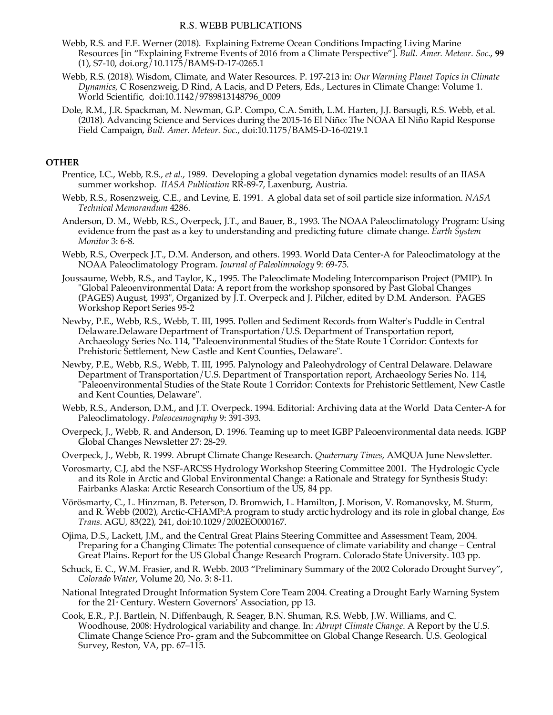# R.S. WEBB PUBLICATIONS

- Webb, R.S. and F.E. Werner (2018). Explaining Extreme Ocean Conditions Impacting Living Marine Resources [in "Explaining Extreme Events of 2016 from a Climate Perspective"]. *Bull. Amer. Meteor. Soc*., **99**  (1), S7-10, doi.org/10.1175/BAMS-D-17-0265.1
- Webb, R.S. (2018). Wisdom, Climate, and Water Resources. P. 197-213 in: *Our Warming Planet Topics in Climate Dynamics,* C Rosenzweig, D Rind, A Lacis, and D Peters, Eds., Lectures in Climate Change: Volume 1. World Scientific, doi:10.1142/9789813148796\_0009
- Dole, R.M., J.R. Spackman, M. Newman, G.P. Compo, C.A. Smith, L.M. Harten, J.J. Barsugli, R.S. Webb, et al. (2018). Advancing Science and Services during the 2015-16 El Niño: The NOAA El Niño Rapid Response Field Campaign, *Bull. Amer. Meteor. Soc*., doi:10.1175/BAMS-D-16-0219.1

# **OTHER**

- Prentice, I.C., Webb, R.S., *et al.*, 1989. Developing a global vegetation dynamics model: results of an IIASA summer workshop. *IIASA Publication* RR-89-7, Laxenburg, Austria.
- Webb, R.S., Rosenzweig, C.E., and Levine, E. 1991. A global data set of soil particle size information. *NASA Technical Memorandum* 4286.
- Anderson, D. M., Webb, R.S., Overpeck, J.T., and Bauer, B., 1993. The NOAA Paleoclimatology Program: Using evidence from the past as a key to understanding and predicting future climate change. *Earth System Monitor* 3: 6-8.
- Webb, R.S., Overpeck J.T., D.M. Anderson, and others. 1993. World Data Center-A for Paleoclimatology at the NOAA Paleoclimatology Program. *Journal of Paleolimnology* 9: 69-75.
- Joussaume, Webb, R.S., and Taylor, K., 1995. The Paleoclimate Modeling Intercomparison Project (PMIP). In "Global Paleoenvironmental Data: A report from the workshop sponsored by Past Global Changes (PAGES) August, 1993", Organized by J.T. Overpeck and J. Pilcher, edited by D.M. Anderson. PAGES Workshop Report Series 95-2
- Newby, P.E., Webb, R.S., Webb, T. III, 1995. Pollen and Sediment Records from Walter's Puddle in Central Delaware.Delaware Department of Transportation/U.S. Department of Transportation report, Archaeology Series No. 114, "Paleoenvironmental Studies of the State Route 1 Corridor: Contexts for Prehistoric Settlement, New Castle and Kent Counties, Delaware".
- Newby, P.E., Webb, R.S., Webb, T. III, 1995. Palynology and Paleohydrology of Central Delaware. Delaware Department of Transportation/U.S. Department of Transportation report, Archaeology Series No. 114, "Paleoenvironmental Studies of the State Route 1 Corridor: Contexts for Prehistoric Settlement, New Castle and Kent Counties, Delaware".
- Webb, R.S., Anderson, D.M., and J.T. Overpeck. 1994. Editorial: Archiving data at the World Data Center-A for Paleoclimatology. *Paleoceanography* 9: 391-393.
- Overpeck, J., Webb, R. and Anderson, D. 1996. Teaming up to meet IGBP Paleoenvironmental data needs. IGBP Global Changes Newsletter 27: 28-29.
- Overpeck, J., Webb, R. 1999. Abrupt Climate Change Research. *Quaternary Times*, AMQUA June Newsletter.
- Vorosmarty, C.J, abd the NSF-ARCSS Hydrology Workshop Steering Committee 2001. The Hydrologic Cycle and its Role in Arctic and Global Environmental Change: a Rationale and Strategy for Synthesis Study: Fairbanks Alaska: Arctic Research Consortium of the US, 84 pp.
- Vörösmarty, C., L. Hinzman, B. Peterson, D. Bromwich, L. Hamilton, J. Morison, V. Romanovsky, M. Sturm, and R. Webb (2002), Arctic-CHAMP:A program to study arctic hydrology and its role in global change, *Eos Trans*. AGU, 83(22), 241, doi:10.1029/2002EO000167.
- Ojima, D.S., Lackett, J.M., and the Central Great Plains Steering Committee and Assessment Team, 2004. Preparing for a Changing Climate: The potential consequence of climate variability and change – Central Great Plains. Report for the US Global Change Research Program. Colorado State University. 103 pp.
- Schuck, E. C., W.M. Frasier, and R. Webb. 2003 "Preliminary Summary of the 2002 Colorado Drought Survey", *Colorado Water*, Volume 20, No. 3: 8-11.
- National Integrated Drought Information System Core Team 2004. Creating a Drought Early Warning System for the 21<sup>*s*</sup> Century. Western Governors' Association, pp 13.
- Cook, E.R., P.J. Bartlein, N. Diffenbaugh, R. Seager, B.N. Shuman, R.S. Webb, J.W. Williams, and C. Woodhouse, 2008: Hydrological variability and change. In: *Abrupt Climate Change*. A Report by the U.S. Climate Change Science Pro- gram and the Subcommittee on Global Change Research. U.S. Geological Survey, Reston, VA, pp. 67–115.